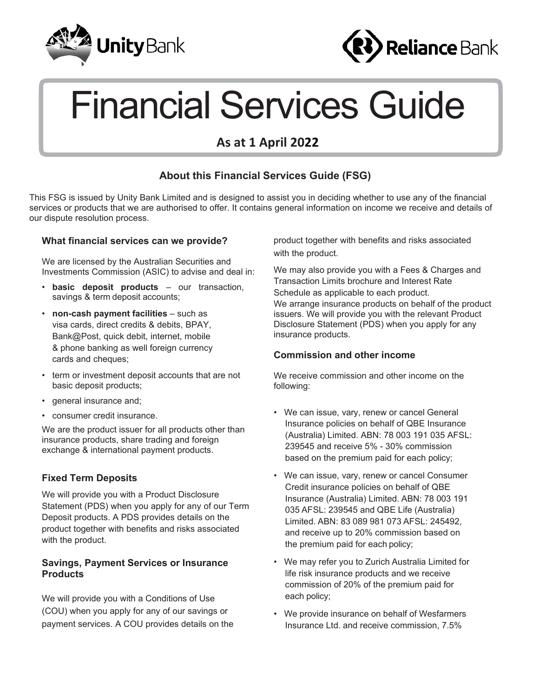



# Financial Services Guide

## **As at 1 April 2022**

### **About this Financial Services Guide (FSG)**

This FSG is issued by Unity Bank Limited and is designed to assist you in deciding whether to use any of the financial services or products that we are authorised to offer. It contains general information on income we receive and details of our dispute resolution process.

#### **What financial services can we provide?**

We are licensed by the Australian Securities and Investments Commission (ASIC) to advise and deal in:

- **basic deposit products** our transaction, savings & term deposit accounts;
- **non-cash payment facilities** such as visa cards, direct credits & debits, BPAY, Bank@Post, quick debit, internet, mobile & phone banking as well foreign currency cards and cheques;
- term or investment deposit accounts that are not basic deposit products;
- general insurance and;
- consumer credit insurance.

We are the product issuer for all products other than insurance products, share trading and foreign exchange & international payment products.

#### **Fixed Term Deposits**

We will provide you with a Product Disclosure Statement (PDS) when you apply for any of our Term Deposit products. A PDS provides details on the product together with benefits and risks associated with the product.

#### **Savings, Payment Services or Insurance Products**

We will provide you with a Conditions of Use (COU) when you apply for any of our savings or payment services. A COU provides details on the product together with benefits and risks associated with the product.

We may also provide you with a Fees & Charges and Transaction Limits brochure and Interest Rate Schedule as applicable to each product. We arrange insurance products on behalf of the product issuers. We will provide you with the relevant Product Disclosure Statement (PDS) when you apply for any insurance products.

#### **Commission and other income**

We receive commission and other income on the following:

- We can issue, vary, renew or cancel General Insurance policies on behalf of QBE Insurance (Australia) Limited. ABN: 78 003 191 035 AFSL: 239545 and receive 5% - 30% commission based on the premium paid for each policy;
- We can issue, vary, renew or cancel Consumer Credit insurance policies on behalf of QBE Insurance (Australia) Limited. ABN: 78 003 191 035 AFSL: 239545 and QBE Life (Australia) Limited. ABN: 83 089 981 073 AFSL: 245492, and receive up to 20% commission based on the premium paid for each policy;
- We may refer you to Zurich Australia Limited for life risk insurance products and we receive commission of 20% of the premium paid for each policy;
- We provide insurance on behalf of Wesfarmers Insurance Ltd. and receive commission, 7.5%